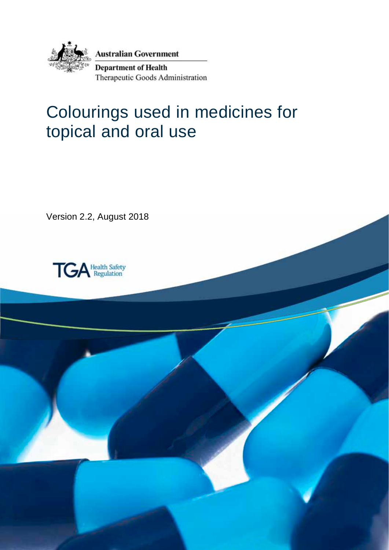

**Australian Government** 

**Department of Health** Therapeutic Goods Administration

# Colourings used in medicines for topical and oral use

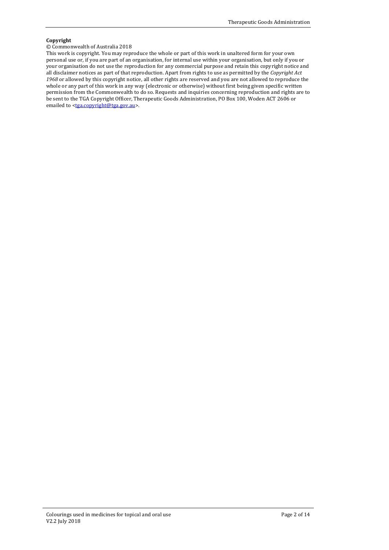#### **Copyright**

#### © Commonwealth of Australia 2018

This work is copyright. You may reproduce the whole or part of this work in unaltered form for your own personal use or, if you are part of an organisation, for internal use within your organisation, but only if you or your organisation do not use the reproduction for any commercial purpose and retain this copyright notice and all disclaimer notices as part of that reproduction. Apart from rights to use as permitted by the *Copyright Act 1968* or allowed by this copyright notice, all other rights are reserved and you are not allowed to reproduce the whole or any part of this work in any way (electronic or otherwise) without first being given specific written permission from the Commonwealth to do so. Requests and inquiries concerning reproduction and rights are to be sent to the TGA Copyright Officer, Therapeutic Goods Administration, PO Box 100, Woden ACT 2606 or emailed to [<tga.copyright@tga.gov.au>](mailto:tga.copyright@tga.gov.au).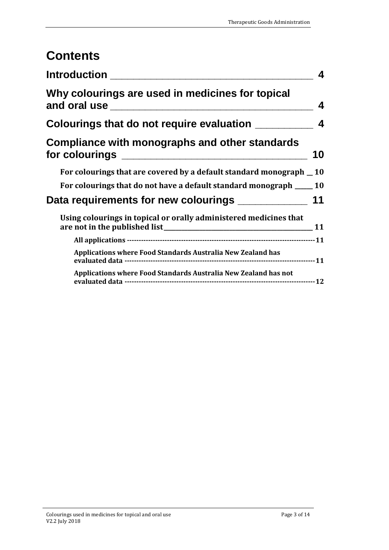# **Contents**

| <b>Introduction</b> the control of the control of the control of the control of the control of the control of the co | 4  |
|----------------------------------------------------------------------------------------------------------------------|----|
| Why colourings are used in medicines for topical<br>and oral use                                                     | 4  |
| Colourings that do not require evaluation ___                                                                        | 4  |
| Compliance with monographs and other standards<br>for colourings _____________________________                       | 10 |
| For colourings that are covered by a default standard monograph _ 10                                                 |    |
| For colourings that do not have a default standard monograph _____ 10                                                |    |
| Data requirements for new colourings ____________                                                                    | 11 |
| Using colourings in topical or orally administered medicines that                                                    | 11 |
|                                                                                                                      |    |
| Applications where Food Standards Australia New Zealand has                                                          |    |
| Applications where Food Standards Australia New Zealand has not                                                      |    |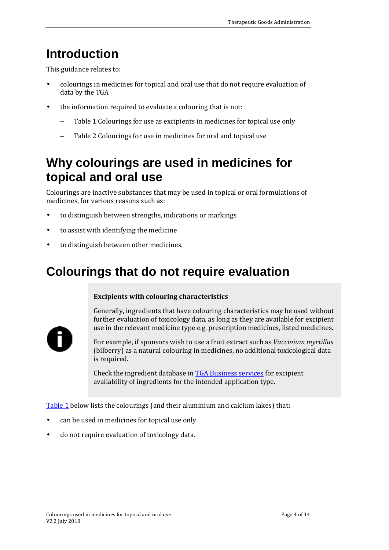# <span id="page-3-0"></span>**Introduction**

This guidance relates to:

- colourings in medicines for topical and oral use that do not require evaluation of data by the TGA
- the information required to evaluate a colouring that is not:
	- Table 1 Colourings for use as excipients in medicines for topical use only
	- Table 2 Colourings for use in medicines for oral and topical use

# <span id="page-3-1"></span>**Why colourings are used in medicines for topical and oral use**

Colourings are inactive substances that may be used in topical or oral formulations of medicines, for various reasons such as:

- to distinguish between strengths, indications or markings
- to assist with identifying the medicine
- to distinguish between other medicines.

# <span id="page-3-2"></span>**Colourings that do not require evaluation**

#### **Excipients with colouring characteristics**



Generally, ingredients that have colouring characteristics may be used without further evaluation of toxicology data, as long as they are available for excipient use in the relevant medicine type e.g. prescription medicines, listed medicines.

For example, if sponsors wish to use a fruit extract such as *Vaccinium myrtillus*  (bilberry) as a natural colouring in medicines, no additional toxicological data is required.

Check the ingredient database in [TGA Business services](https://www.ebs.tga.gov.au/) for excipient availability of ingredients for the intended application type.

[Table 1](#page-4-0) below lists the colourings (and their aluminium and calcium lakes) that:

- can be used in medicines for topical use only
- do not require evaluation of toxicology data.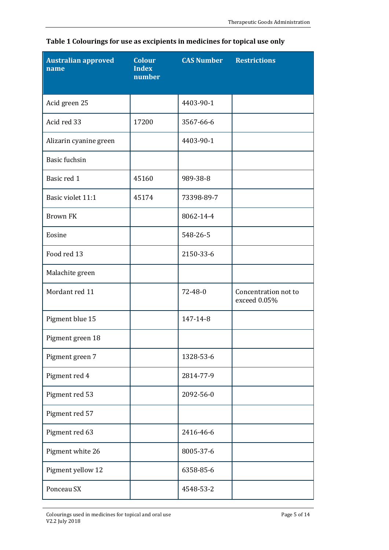| Australian approved<br>name | <b>Colour</b><br><b>Index</b><br>number | <b>CAS Number</b> | <b>Restrictions</b>                  |
|-----------------------------|-----------------------------------------|-------------------|--------------------------------------|
| Acid green 25               |                                         | 4403-90-1         |                                      |
| Acid red 33                 | 17200                                   | 3567-66-6         |                                      |
| Alizarin cyanine green      |                                         | 4403-90-1         |                                      |
| <b>Basic fuchsin</b>        |                                         |                   |                                      |
| Basic red 1                 | 45160                                   | 989-38-8          |                                      |
| Basic violet 11:1           | 45174                                   | 73398-89-7        |                                      |
| <b>Brown FK</b>             |                                         | 8062-14-4         |                                      |
| Eosine                      |                                         | 548-26-5          |                                      |
| Food red 13                 |                                         | 2150-33-6         |                                      |
| Malachite green             |                                         |                   |                                      |
| Mordant red 11              |                                         | $72 - 48 - 0$     | Concentration not to<br>exceed 0.05% |
| Pigment blue 15             |                                         | 147-14-8          |                                      |
| Pigment green 18            |                                         |                   |                                      |
| Pigment green 7             |                                         | 1328-53-6         |                                      |
| Pigment red 4               |                                         | 2814-77-9         |                                      |
| Pigment red 53              |                                         | 2092-56-0         |                                      |
| Pigment red 57              |                                         |                   |                                      |
| Pigment red 63              |                                         | 2416-46-6         |                                      |
| Pigment white 26            |                                         | 8005-37-6         |                                      |
| Pigment yellow 12           |                                         | 6358-85-6         |                                      |
| Ponceau SX                  |                                         | 4548-53-2         |                                      |

<span id="page-4-0"></span>

|  | Table 1 Colourings for use as excipients in medicines for topical use only |  |  |  |
|--|----------------------------------------------------------------------------|--|--|--|
|  |                                                                            |  |  |  |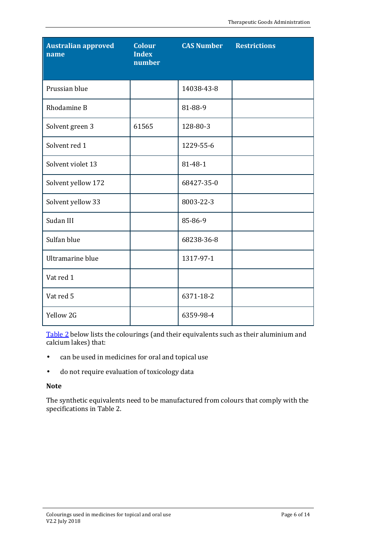| <b>Australian approved</b><br>name | <b>Colour</b><br><b>Index</b><br>number | <b>CAS Number</b> | <b>Restrictions</b> |
|------------------------------------|-----------------------------------------|-------------------|---------------------|
| Prussian blue                      |                                         | 14038-43-8        |                     |
| Rhodamine B                        |                                         | 81-88-9           |                     |
| Solvent green 3                    | 61565                                   | 128-80-3          |                     |
| Solvent red 1                      |                                         | 1229-55-6         |                     |
| Solvent violet 13                  |                                         | 81-48-1           |                     |
| Solvent yellow 172                 |                                         | 68427-35-0        |                     |
| Solvent yellow 33                  |                                         | 8003-22-3         |                     |
| Sudan III                          |                                         | 85-86-9           |                     |
| Sulfan blue                        |                                         | 68238-36-8        |                     |
| Ultramarine blue                   |                                         | 1317-97-1         |                     |
| Vat red 1                          |                                         |                   |                     |
| Vat red 5                          |                                         | 6371-18-2         |                     |
| Yellow 2G                          |                                         | 6359-98-4         |                     |

[Table 2](#page-6-0) below lists the colourings (and their equivalents such as their aluminium and calcium lakes) that:

- can be used in medicines for oral and topical use  $\hat{\mathbf{r}}$
- do not require evaluation of toxicology data  $\epsilon$

#### **Note**

The synthetic equivalents need to be manufactured from colours that comply with the specifications in Table 2.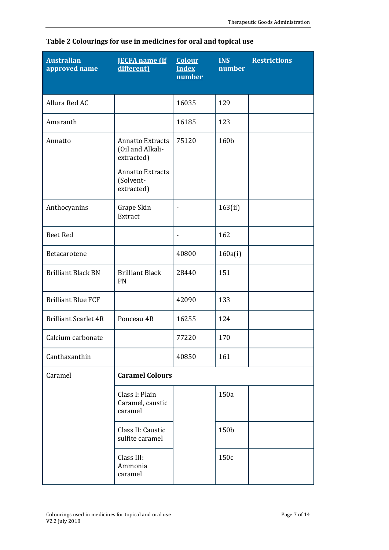| <b>Australian</b><br>approved name | <b>JECFA</b> name (if<br>different)                                                                             | <b>Colour</b><br><b>Index</b><br>number | <b>INS</b><br>number | <b>Restrictions</b> |
|------------------------------------|-----------------------------------------------------------------------------------------------------------------|-----------------------------------------|----------------------|---------------------|
| Allura Red AC                      |                                                                                                                 | 16035                                   | 129                  |                     |
| Amaranth                           |                                                                                                                 | 16185                                   | 123                  |                     |
| Annatto                            | <b>Annatto Extracts</b><br>(Oil and Alkali-<br>extracted)<br><b>Annatto Extracts</b><br>(Solvent-<br>extracted) | 75120                                   | 160b                 |                     |
| Anthocyanins                       | Grape Skin<br><b>Extract</b>                                                                                    | ٠                                       | 163(ii)              |                     |
| <b>Beet Red</b>                    |                                                                                                                 | $\qquad \qquad \blacksquare$            | 162                  |                     |
| Betacarotene                       |                                                                                                                 | 40800                                   | 160a(i)              |                     |
| <b>Brilliant Black BN</b>          | <b>Brilliant Black</b><br>PN                                                                                    | 28440                                   | 151                  |                     |
| <b>Brilliant Blue FCF</b>          |                                                                                                                 | 42090                                   | 133                  |                     |
| <b>Brilliant Scarlet 4R</b>        | Ponceau 4R                                                                                                      | 16255                                   | 124                  |                     |
| Calcium carbonate                  |                                                                                                                 | 77220                                   | 170                  |                     |
| Canthaxanthin                      |                                                                                                                 | 40850                                   | 161                  |                     |
| Caramel                            | <b>Caramel Colours</b>                                                                                          |                                         |                      |                     |
|                                    | Class I: Plain<br>Caramel, caustic<br>caramel                                                                   |                                         | 150a                 |                     |
|                                    | Class II: Caustic<br>sulfite caramel                                                                            |                                         | 150b                 |                     |
|                                    | Class III:<br>Ammonia<br>caramel                                                                                |                                         | 150c                 |                     |

<span id="page-6-0"></span>

|  |  | Table 2 Colourings for use in medicines for oral and topical use |  |  |  |
|--|--|------------------------------------------------------------------|--|--|--|
|  |  |                                                                  |  |  |  |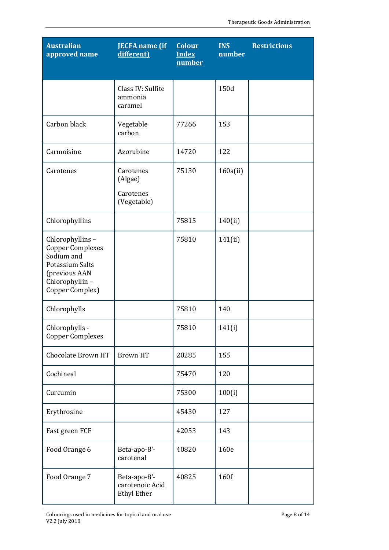| <b>Australian</b><br>approved name                                                                                                | <b>JECFA</b> name (if<br>different)                   | <b>Colour</b><br><b>Index</b><br>number | <b>INS</b><br>number | <b>Restrictions</b> |
|-----------------------------------------------------------------------------------------------------------------------------------|-------------------------------------------------------|-----------------------------------------|----------------------|---------------------|
|                                                                                                                                   | Class IV: Sulfite<br>ammonia<br>caramel               |                                         | 150d                 |                     |
| Carbon black                                                                                                                      | Vegetable<br>carbon                                   | 77266                                   | 153                  |                     |
| Carmoisine                                                                                                                        | Azorubine                                             | 14720                                   | 122                  |                     |
| Carotenes                                                                                                                         | Carotenes<br>(Algae)<br>Carotenes<br>(Vegetable)      | 75130                                   | 160a(ii)             |                     |
| Chlorophyllins                                                                                                                    |                                                       | 75815                                   | 140(ii)              |                     |
| Chlorophyllins-<br><b>Copper Complexes</b><br>Sodium and<br>Potassium Salts<br>(previous AAN<br>Chlorophyllin-<br>Copper Complex) |                                                       | 75810                                   | 141(ii)              |                     |
| Chlorophylls                                                                                                                      |                                                       | 75810                                   | 140                  |                     |
| Chlorophylls -<br><b>Copper Complexes</b>                                                                                         |                                                       | 75810                                   | 141(i)               |                     |
| Chocolate Brown HT                                                                                                                | <b>Brown HT</b>                                       | 20285                                   | 155                  |                     |
| Cochineal                                                                                                                         |                                                       | 75470                                   | 120                  |                     |
| Curcumin                                                                                                                          |                                                       | 75300                                   | 100(i)               |                     |
| Erythrosine                                                                                                                       |                                                       | 45430                                   | 127                  |                     |
| Fast green FCF                                                                                                                    |                                                       | 42053                                   | 143                  |                     |
| Food Orange 6                                                                                                                     | Beta-apo-8'-<br>carotenal                             | 40820                                   | 160e                 |                     |
| Food Orange 7                                                                                                                     | Beta-apo-8'-<br>carotenoic Acid<br><b>Ethyl Ether</b> | 40825                                   | 160f                 |                     |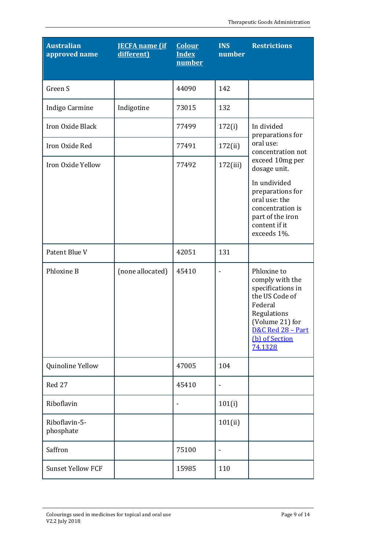| <b>Australian</b><br>approved name | <b>JECFA</b> name (if<br>different) | <b>Colour</b><br><b>Index</b><br>number | <b>INS</b><br>number         | <b>Restrictions</b>                                                                                                                                                  |
|------------------------------------|-------------------------------------|-----------------------------------------|------------------------------|----------------------------------------------------------------------------------------------------------------------------------------------------------------------|
| Green S                            |                                     | 44090                                   | 142                          |                                                                                                                                                                      |
| Indigo Carmine                     | Indigotine                          | 73015                                   | 132                          |                                                                                                                                                                      |
| Iron Oxide Black                   |                                     | 77499                                   | 172(i)                       | In divided<br>preparations for                                                                                                                                       |
| Iron Oxide Red                     |                                     | 77491                                   | 172(ii)                      | oral use:<br>concentration not                                                                                                                                       |
| Iron Oxide Yellow                  |                                     | 77492                                   | 172(iii)                     | exceed 10mg per<br>dosage unit.                                                                                                                                      |
|                                    |                                     |                                         |                              | In undivided<br>preparations for<br>oral use: the<br>concentration is<br>part of the iron<br>content if it<br>exceeds 1%.                                            |
| Patent Blue V                      |                                     | 42051                                   | 131                          |                                                                                                                                                                      |
| Phloxine B                         | (none allocated)                    | 45410                                   |                              | Phloxine to<br>comply with the<br>specifications in<br>the US Code of<br>Federal<br>Regulations<br>(Volume 21) for<br>D&C Red 28 - Part<br>(b) of Section<br>74.1328 |
| Quinoline Yellow                   |                                     | 47005                                   | 104                          |                                                                                                                                                                      |
| Red 27                             |                                     | 45410                                   |                              |                                                                                                                                                                      |
| Riboflavin                         |                                     |                                         | 101(i)                       |                                                                                                                                                                      |
| Riboflavin-5-<br>phosphate         |                                     |                                         | 101(ii)                      |                                                                                                                                                                      |
| Saffron                            |                                     | 75100                                   | $\qquad \qquad \blacksquare$ |                                                                                                                                                                      |
| <b>Sunset Yellow FCF</b>           |                                     | 15985                                   | 110                          |                                                                                                                                                                      |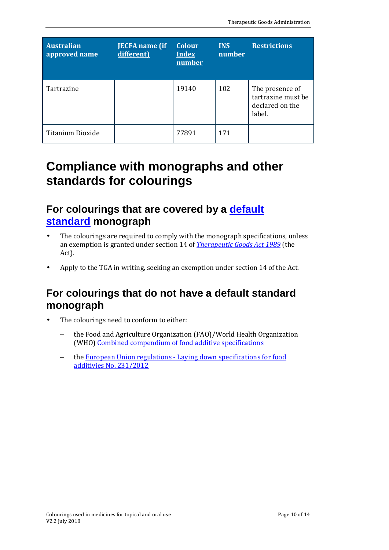| <b>Australian</b><br>approved name | <b>JECFA</b> name (if<br>different) | <b>Colour</b><br><b>Index</b><br>number | <b>INS</b><br>number | <b>Restrictions</b>                                                |
|------------------------------------|-------------------------------------|-----------------------------------------|----------------------|--------------------------------------------------------------------|
| Tartrazine                         |                                     | 19140                                   | 102                  | The presence of<br>tartrazine must be<br>declared on the<br>label. |
| Titanium Dioxide                   |                                     | 77891                                   | 171                  |                                                                    |

# <span id="page-9-0"></span>**Compliance with monographs and other standards for colourings**

## <span id="page-9-1"></span>For colourings that are covered by a default **[standard](https://www.tga.gov.au/acronyms-glossary#summary-d) monograph**

- The colourings are required to comply with the monograph specifications, unless an exemption is granted under section 14 of *[Therapeutic Goods Act 1989](https://www.legislation.gov.au/Series/C2004A03952)* (the Act).
- Apply to the TGA in writing, seeking an exemption under section 14 of the Act.

# <span id="page-9-2"></span>**For colourings that do not have a default standard monograph**

- The colourings need to conform to either:
	- the Food and Agriculture Organization (FAO)/World Health Organization (WHO) [Combined compendium of food additive specifications](http://www.fao.org/docrep/009/a0691e/a0691e00.htm)
	- the [European Union regulations Laying down specifications for food](http://eur-lex.europa.eu/LexUriServ/LexUriServ.do?uri=OJ:L:2012:083:FULL:EN:PDF)  [additivies No. 231/2012](http://eur-lex.europa.eu/LexUriServ/LexUriServ.do?uri=OJ:L:2012:083:FULL:EN:PDF)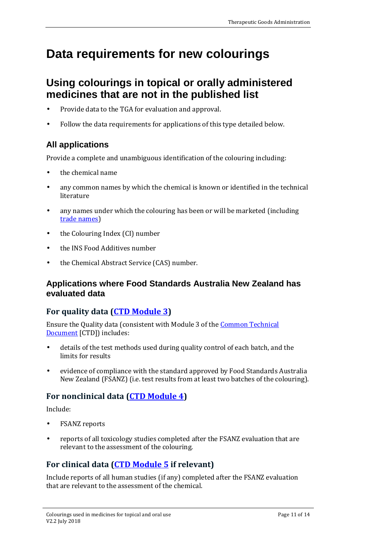# <span id="page-10-0"></span>**Data requirements for new colourings**

# <span id="page-10-1"></span>**Using colourings in topical or orally administered medicines that are not in the published list**

- Provide data to the TGA for evaluation and approval.
- Follow the data requirements for applications of this type detailed below.

## <span id="page-10-2"></span>**All applications**

Provide a complete and unambiguous identification of the colouring including:

- the chemical name
- any common names by which the chemical is known or identified in the technical literature
- any names under which the colouring has been or will be marketed (including [trade names\)](https://www.tga.gov.au/acronyms-glossary#summary-t)
- the Colouring Index (CI) number
- the INS Food Additives number
- the Chemical Abstract Service (CAS) number.

### <span id="page-10-3"></span>**Applications where Food Standards Australia New Zealand has evaluated data**

## **For quality data [\(CTD Module 3\)](https://www.tga.gov.au/publication/common-technical-document-ctd)**

Ensure the Quality data (consistent with Module 3 of th[e Common Technical](https://www.tga.gov.au/publication/common-technical-document-ctd)  [Document](https://www.tga.gov.au/publication/common-technical-document-ctd) [CTD]) includes:

- details of the test methods used during quality control of each batch, and the limits for results
- evidence of compliance with the standard approved by Food Standards Australia New Zealand (FSANZ) (i.e. test results from at least two batches of the colouring).

## **For nonclinical data [\(CTD Module 4\)](https://www.tga.gov.au/publication/common-technical-document-ctd)**

Include:

- FSANZ reports
- reports of all toxicology studies completed after the FSANZ evaluation that are relevant to the assessment of the colouring.

## **For clinical data [\(CTD Module 5](https://www.tga.gov.au/publication/common-technical-document-ctd) if relevant)**

Include reports of all human studies (if any) completed after the FSANZ evaluation that are relevant to the assessment of the chemical.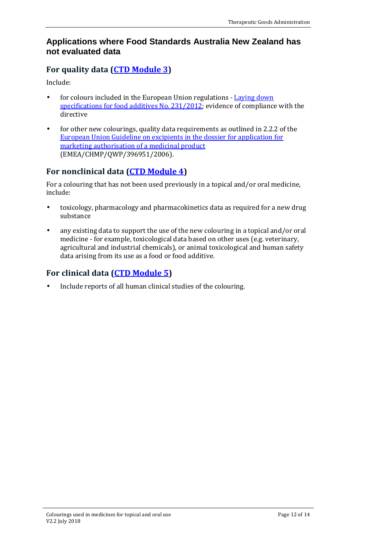### <span id="page-11-0"></span>**Applications where Food Standards Australia New Zealand has not evaluated data**

### **For quality data [\(CTD Module 3\)](https://www.tga.gov.au/publication/common-technical-document-ctd)**

Include:

- for colours included in the European Union regulations  [Laying down](http://eur-lex.europa.eu/LexUriServ/LexUriServ.do?uri=OJ:L:2012:083:FULL:EN:PDF)  [specifications for food additives No. 231/2012;](http://eur-lex.europa.eu/LexUriServ/LexUriServ.do?uri=OJ:L:2012:083:FULL:EN:PDF) evidence of compliance with the directive
- for other new colourings, quality data requirements as outlined in 2.2.2 of the [European Union Guideline on excipients in the dossier for application for](https://www.tga.gov.au/quality-guidelines)  [marketing authorisation of a medicinal product](https://www.tga.gov.au/quality-guidelines) (EMEA/CHMP/QWP/396951/2006).

## **For nonclinical data [\(CTD Module 4\)](https://www.tga.gov.au/publication/common-technical-document-ctd)**

For a colouring that has not been used previously in a topical and/or oral medicine, include:

- toxicology, pharmacology and pharmacokinetics data as required for a new drug substance
- any existing data to support the use of the new colouring in a topical and/or oral medicine - for example, toxicological data based on other uses (e.g. veterinary, agricultural and industrial chemicals), or animal toxicological and human safety data arising from its use as a food or food additive.

## **For clinical data [\(CTD Module 5\)](https://www.tga.gov.au/publication/common-technical-document-ctd)**

Include reports of all human clinical studies of the colouring.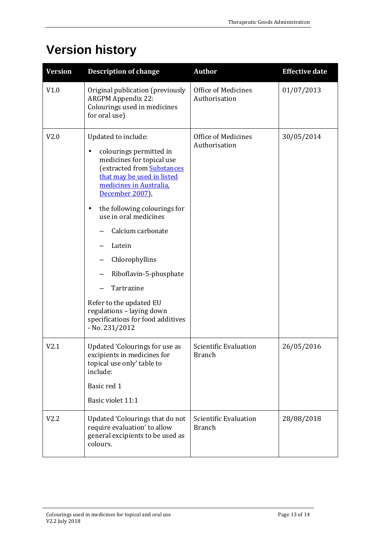# **Version history**

| <b>Version</b> | <b>Description of change</b>                                                                                                                                                                                                                                                                                                                                                                                                                                                               | <b>Author</b>                               | <b>Effective date</b> |
|----------------|--------------------------------------------------------------------------------------------------------------------------------------------------------------------------------------------------------------------------------------------------------------------------------------------------------------------------------------------------------------------------------------------------------------------------------------------------------------------------------------------|---------------------------------------------|-----------------------|
| V1.0           | Original publication (previously<br><b>ARGPM Appendix 22:</b><br>Colourings used in medicines<br>for oral use)                                                                                                                                                                                                                                                                                                                                                                             | <b>Office of Medicines</b><br>Authorisation | 01/07/2013            |
| V2.0           | Updated to include:<br>colourings permitted in<br>$\blacksquare$<br>medicines for topical use<br>(extracted from Substances<br>that may be used in listed<br>medicines in Australia,<br>December 2007),<br>the following colourings for<br>$\blacksquare$<br>use in oral medicines<br>Calcium carbonate<br>Lutein<br>Chlorophyllins<br>Riboflavin-5-phosphate<br>Tartrazine<br>Refer to the updated EU<br>regulations - laying down<br>specifications for food additives<br>- No. 231/2012 | Office of Medicines<br>Authorisation        | 30/05/2014            |
| V2.1           | <b>Updated 'Colourings for use as</b><br>excipients in medicines for<br>topical use only' table to<br>include:<br>Basic red 1<br>Basic violet 11:1                                                                                                                                                                                                                                                                                                                                         | Scientific Evaluation<br><b>Branch</b>      | 26/05/2016            |
| V2.2           | Updated 'Colourings that do not<br>require evaluation' to allow<br>general excipients to be used as<br>colours.                                                                                                                                                                                                                                                                                                                                                                            | Scientific Evaluation<br><b>Branch</b>      | 28/08/2018            |